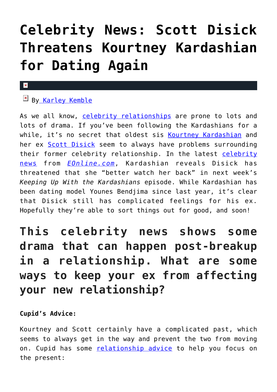# **[Celebrity News: Scott Disick](https://cupidspulse.com/121150/celebrity-news-scott-disick-threatens-kourtney-kardashian-dating-again/) [Threatens Kourtney Kardashian](https://cupidspulse.com/121150/celebrity-news-scott-disick-threatens-kourtney-kardashian-dating-again/) [for Dating Again](https://cupidspulse.com/121150/celebrity-news-scott-disick-threatens-kourtney-kardashian-dating-again/)**

#### x

## **EX B[y Karley Kemble](http://cupidspulse.com/121255/karley-kemble/)**

As we all know, [celebrity relationships](http://cupidspulse.com/celebrity-news/) are prone to lots and lots of drama. If you've been following the Kardashians for a while, it's no secret that oldest sis [Kourtney Kardashian](http://cupidspulse.com/89555/kourtney-kardashian/) and her ex **[Scott Disick](http://cupidspulse.com/87712/scott-disick/)** seem to always have problems surrounding their former [celebrity](http://cupidspulse.com) relationship. In the latest celebrity [news](http://cupidspulse.com) from *[EOnline.com](http://www.eonline.com/shows/kardashians/news/888226/scott-disick-threatening-kourtney-kardashian-for-dating-again-you-better-watch-your-back)*, Kardashian reveals Disick has threatened that she "better watch her back" in next week's *Keeping Up With the Kardashians* episode. While Kardashian has been dating model Younes Bendjima since last year, it's clear that Disick still has complicated feelings for his ex. Hopefully they're able to sort things out for good, and soon!

# **This celebrity news shows some drama that can happen post-breakup in a relationship. What are some ways to keep your ex from affecting your new relationship?**

### **Cupid's Advice:**

Kourtney and Scott certainly have a complicated past, which seems to always get in the way and prevent the two from moving on. Cupid has some [relationship advice](http://cupidspulse.com/tag/relationship-advice/) to help you focus on the present: